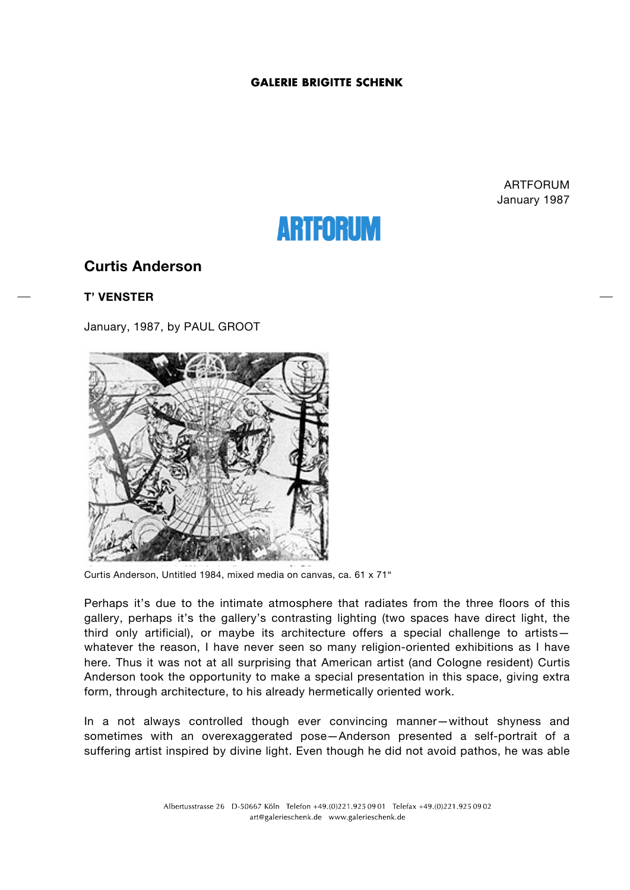### **GALERIE BRIGITTE SCHENK**

ARTFORUM January 1987

# **ARTFORUM**

# **Curtis Anderson**

## **T' VENSTER**

January, 1987, by PAUL GROOT



Curtis Anderson, Untitled 1984, mixed media on canvas, ca. 61 x 71"

Perhaps it's due to the intimate atmosphere that radiates from the three floors of this gallery, perhaps it's the gallery's contrasting lighting (two spaces have direct light, the third only artificial), or maybe its architecture offers a special challenge to artists whatever the reason, I have never seen so many religion-oriented exhibitions as I have here. Thus it was not at all surprising that American artist (and Cologne resident) Curtis Anderson took the opportunity to make a special presentation in this space, giving extra form, through architecture, to his already hermetically oriented work.

In a not always controlled though ever convincing manner—without shyness and sometimes with an overexaggerated pose—Anderson presented a self-portrait of a suffering artist inspired by divine light. Even though he did not avoid pathos, he was able